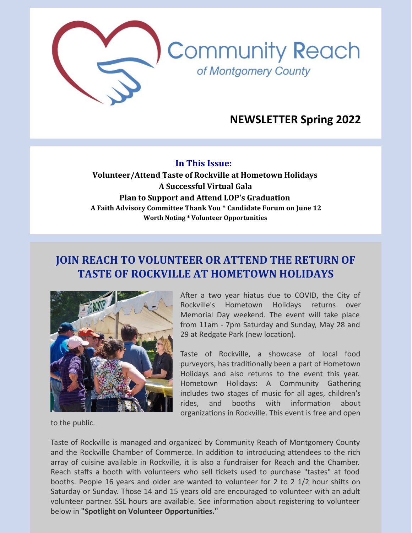

# **NEWSLETTER Spring 2022**

#### **In This Issue:**

**Volunteer/Attend Taste of Rockville at Hometown Holidays A Successful Virtual Gala Plan to Support and Attend LOP's Graduation A Faith Advisory Committee Thank You \* Candidate Forum on June 12 Worth Noting \* Volunteer Opportunities**

## **JOIN REACH TO VOLUNTEER OR ATTEND THE RETURN OF TASTE OF ROCKVILLE AT HOMETOWN HOLIDAYS**



After a two year hiatus due to COVID, the City of Rockville's Hometown Holidays returns over Memorial Day weekend. The event will take place from 11am - 7pm Saturday and Sunday, May 28 and 29 at Redgate Park (new location).

Taste of Rockville, a showcase of local food purveyors, has traditionally been a part of Hometown Holidays and also returns to the event this year. Hometown Holidays: A Community Gathering includes two stages of music for all ages, children's rides, and booths with information about organizations in Rockville. This event is free and open

to the public.

Taste of Rockville is managed and organized by Community Reach of Montgomery County and the Rockville Chamber of Commerce. In addition to introducing attendees to the rich array of cuisine available in Rockville, it is also a fundraiser for Reach and the Chamber. Reach staffs a booth with volunteers who sell tickets used to purchase "tastes" at food booths. People 16 years and older are wanted to volunteer for 2 to 2 1/2 hour shifts on Saturday or Sunday. Those 14 and 15 years old are encouraged to volunteer with an adult volunteer partner. SSL hours are available. See information about registering to volunteer below in **"Spotlight on Volunteer Opportunities."**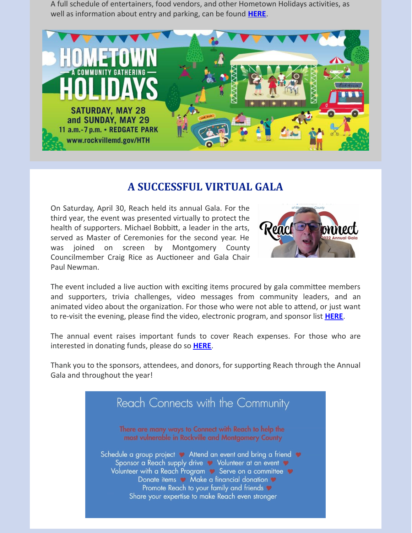A full schedule of entertainers, food vendors, and other Hometown Holidays activities, as well as information about entry and parking, can be found **[HERE](https://www.rockvillemd.gov/665/Hometown-Holidays)**.



### **A SUCCESSFUL VIRTUAL GALA**

On Saturday, April 30, Reach held its annual Gala. For the third year, the event was presented virtually to protect the health of supporters. Michael Bobbitt, a leader in the arts, served as Master of Ceremonies for the second year. He was joined on screen by Montgomery County Councilmember Craig Rice as Auctioneer and Gala Chair Paul Newman.



The event included a live auction with exciting items procured by gala committee members and supporters, trivia challenges, video messages from community leaders, and an animated video about the organization. For those who were not able to attend, or just want to re-visit the evening, please find the video, electronic program, and sponsor list **[HERE](https://www.cmrocks.org/events)**.

The annual event raises important funds to cover Reach expenses. For those who are interested in donating funds, please do so **[HERE](https://www.paypal.com/donate/?hosted_button_id=MKRWHAJVQ6HSS)**.

Thank you to the sponsors, attendees, and donors, for supporting Reach through the Annual Gala and throughout the year!

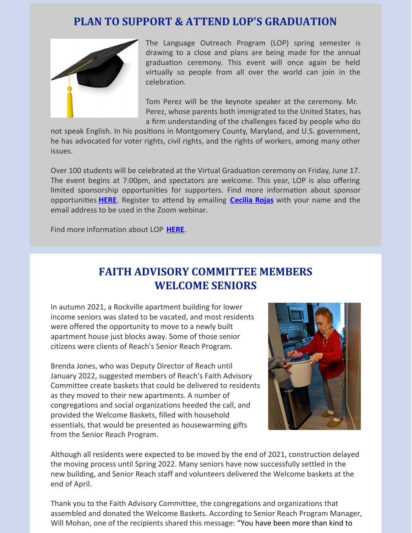## **PLAN TO SUPPORT & ATTEND LOP'S GRADUATION**



The Language Outreach Program (LOP) spring semester is drawing to a close and plans are being made for the annual graduation ceremony. This event will once again be held virtually so people from all over the world can join in the celebration.

Tom Perez will be the keynote speaker at the ceremony. Mr. Perez, whose parents both immigrated to the United States, has a firm understanding of the challenges faced by people who do

not speak English. In his positions in Montgomery County, Maryland, and U.S. government, he has advocated for voter rights, civil rights, and the rights of workers, among many other issues.

Over 100 students will be celebrated at the Virtual Graduation ceremony on Friday, June 17. The event begins at 7:00pm, and spectators are welcome. This year, LOP is also offering limited sponsorship opportunities for supporters. Find more information about sponsor opportunities **[HERE](https://1a20f3ba-cde9-4347-aa09-90b8813c285c.filesusr.com/ugd/4c9ddf_c05f1f893663457198804a52c45fc474.pdf)**. Register to attend by emailing **[Cecilia](mailto:crojas@cmrocks.org) Rojas** with your name and the email address to be used in the Zoom webinar.

Find more information about LOP **[HERE](https://www.cmrocks.org/lop)**.

# **FAITH ADVISORY COMMITTEE MEMBERS WELCOME SENIORS**

In autumn 2021, a Rockville apartment building for lower income seniors was slated to be vacated, and most residents were offered the opportunity to move to a newly built apartment house just blocks away. Some of those senior citizens were clients of Reach's Senior Reach Program.

Brenda Jones, who was Deputy Director of Reach until January 2022, suggested members of Reach's Faith Advisory Committee create baskets that could be delivered to residents as they moved to their new apartments. A number of congregations and social organizations heeded the call, and provided the Welcome Baskets, filled with household essentials, that would be presented as housewarming gifts from the Senior Reach Program.



Although all residents were expected to be moved by the end of 2021, construction delayed the moving process until Spring 2022. Many seniors have now successfully settled in the new building, and Senior Reach staff and volunteers delivered the Welcome baskets at the end of April.

Thank you to the Faith Advisory Committee, the congregations and organizations that assembled and donated the Welcome Baskets. According to Senior Reach Program Manager, Will Mohan, one of the recipients shared this message: "You have been more than kind to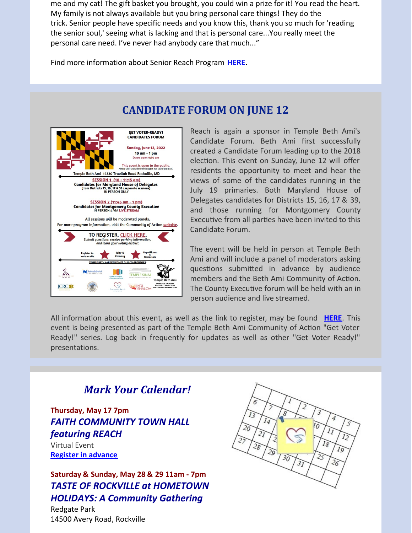me and my cat! The gift basket you brought, you could win a prize for it! You read the heart. My family is not always available but you bring personal care things! They do the trick. Senior people have specific needs and you know this, thank you so much for 'reading the senior soul,' seeing what is lacking and that is personal care...You really meet the personal care need. I've never had anybody care that much..."

Find more information about Senior Reach Program **[HERE](https://www.cmrocks.org/senior-reach)**.





Reach is again a sponsor in Temple Beth Ami's Candidate Forum. Beth Ami first successfully created a Candidate Forum leading up to the 2018 election. This event on Sunday, June 12 will offer residents the opportunity to meet and hear the views of some of the candidates running in the July 19 primaries. Both Maryland House of Delegates candidates for Districts 15, 16, 17 & 39, and those running for Montgomery County Executive from all parties have been invited to this Candidate Forum.

The event will be held in person at Temple Beth Ami and will include a panel of moderators asking questions submitted in advance by audience members and the Beth Ami Community of Action. The County Executive forum will be held with an in person audience and live streamed.

All information about this event, as well as the link to register, may be found **[HERE](https://bethami.org/community/social-action/community-of-action/montgomery-county-and-maryland-state-and-congressional-election-districts/)**. This event is being presented as part of the Temple Beth Ami Community of Action "Get Voter Ready!" series. Log back in frequently for updates as well as other "Get Voter Ready!" presentations.

## *Mark Your Calendar!*

**Thursday, May 17 7pm** *FAITH COMMUNITY TOWN HALL featuring REACH* Virtual Event

**Register in [advance](https://us06web.zoom.us/meeting/register/tZ0rdeugrj0jEtTxVW65UXhwOE4JVcvXmg5K?_x_zm_rtaid=HJra4qdMTDaDB2avOdpj1Q.1652365928359.04e0958861c0e9eae26647ed602fd87a&_x_zm_rhtaid=942)**

**Saturday & Sunday, May 28 & 29 11am - 7pm** *TASTE OF ROCKVILLE at HOMETOWN HOLIDAYS: A Community Gathering*

Redgate Park 14500 Avery Road, Rockville

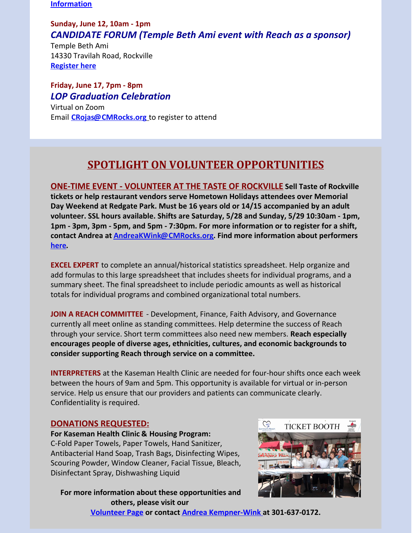**[Information](https://r20.rs6.net/tn.jsp?f=001VdoNfA9pjez3qmYOVxqUigRX0cBDghbVsOLEtBI-yUWfalOLNcBPKt0quW5OUb-ZrQ7xTJ5zyNgx5l_12gGoxDZsPxRxjy9wxLRRY-Lk0Ev9jQ0s4wrONBi4Q2xkVl25rnG2LkViupBAoyDyqhJ5m_Zx_yg360hVOqqsSV256gW9V1JGBQxMTQ==&c=lpianB9a4Ii6I-9kmBK0bUeo8ftKetMb_QXZ0_NqqkMWvw2tMwnfTw==&ch=uPjLbRdNDJplwrTpIO1BPABJuZJJDBMtX5tJytGIRdh0HflhFhAduQ==)**

### **Sunday, June 12, 10am - 1pm** *CANDIDATE FORUM (Temple Beth Ami event with Reach as a sponsor)*

Temple Beth Ami 14330 Travilah Road, Rockville **[Register](https://docs.google.com/forms/d/e/1FAIpQLSeF57ISQ9BHNxnOAseFv0lyg1oeqJTRLbfo7W4f6ydSrjPMrA/viewform) here**

**Friday, June 17, 7pm - 8pm** *LOP Graduation Celebration*

Virtual on Zoom Email **[CRojas@CMRocks.org](mailto:crojas@cmrocks.org)** to register to attend

# **SPOTLIGHT ON VOLUNTEER OPPORTUNITIES**

**ONE-TIME EVENT - VOLUNTEER AT THE TASTE OF ROCKVILLE Sell Taste of Rockville tickets or help restaurant vendors serve Hometown Holidays attendees over Memorial Day Weekend at Redgate Park. Must be 16 years old or 14/15 accompanied by an adult volunteer. SSL hours available. Shifts are Saturday, 5/28 and Sunday, 5/29 10:30am - 1pm, 1pm - 3pm, 3pm - 5pm, and 5pm - 7:30pm. For more information or to register for a shift, contact Andrea at [AndreaKWink@CMRocks.org](mailto:andreakwink@cmrocks.org). Find more information about performers [here](https://www.rockvillemd.gov/665/Hometown-Holidays).**

**EXCEL EXPERT** to complete an annual/historical statistics spreadsheet. Help organize and add formulas to this large spreadsheet that includes sheets for individual programs, and a summary sheet. The final spreadsheet to include periodic amounts as well as historical totals for individual programs and combined organizational total numbers.

**JOIN A REACH COMMITTEE** - Development, Finance, Faith Advisory, and Governance currently all meet online as standing committees. Help determine the success of Reach through your service. Short term committees also need new members. **Reach especially encourages people of diverse ages, ethnicities, cultures, and economic backgrounds to consider supporting Reach through service on a committee.**

**INTERPRETERS** at the Kaseman Health Clinic are needed for four-hour shifts once each week between the hours of 9am and 5pm. This opportunity is available for virtual or in-person service. Help us ensure that our providers and patients can communicate clearly. Confidentiality is required.

### **DONATIONS REQUESTED:**

**For Kaseman Health Clinic & Housing Program:** C-Fold Paper Towels, Paper Towels, Hand Sanitizer, Antibacterial Hand Soap, Trash Bags, Disinfecting Wipes, Scouring Powder, Window Cleaner, Facial Tissue, Bleach, Disinfectant Spray, Dishwashing Liquid

**For more information about these opportunities and others, please visit our [Volunteer](https://www.cmrocks.org/copy-of-volunteer) Page or contact Andrea [Kempner-Wink](mailto:andreakwink@cmrocks.org) at 301-637-0172.**